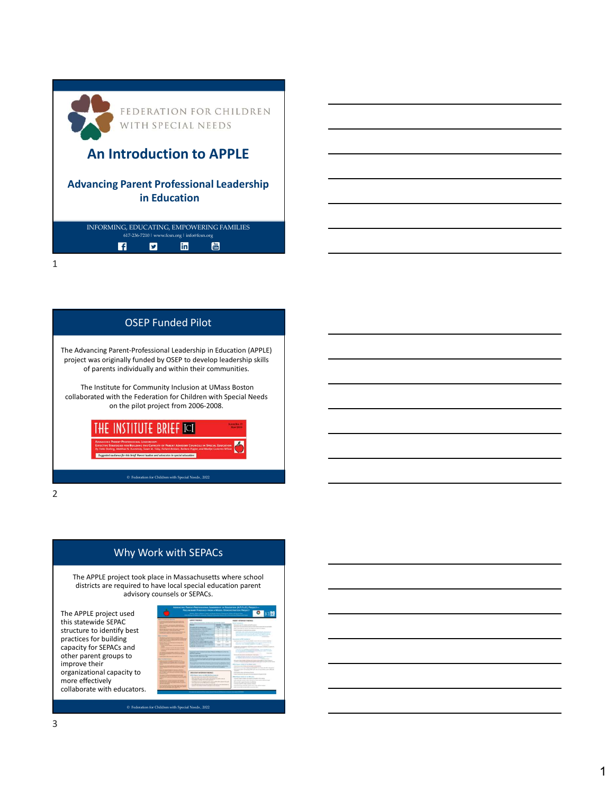

## OSEP Funded Pilot

The Advancing Parent-Professional Leadership in Education (APPLE) project was originally funded by OSEP to develop leadership skills of parents individually and within their communities.

The Institute for Community Inclusion at UMass Boston collaborated with the Federation for Children with Special Needs on the pilot project from 2006-2008.

**INSTITUTE BRIEF ICI** 

2 and 2 and 2 and 2 and 2 and 2 and 2 and 2 and 2 and 2 and 2 and 2 and 2 and 2 and 2 and 2 and 2 and 2 and 2

## Why Work with SEPACs

The APPLE project took place in Massachusetts where school districts are required to have local special education parent advisory counsels or SEPACs.

The APPLE project used this statewide SEPAC structure to identify best practices for building capacity for SEPACs and other parent groups to improve their organizational capacity to more effectively collaborate with educators.

| <b>AND AFTER MANAGER</b><br><b><i><u>A CONSTANT BARRET ATTENDED</u></i></b>                                                                                                                                                                                                      | <b><i>SANTTAGES</i></b>                                                                                                                                                   |                     |              | <b>NAMES WAS ARRESTED FOR DWOL.</b>                                                                                                                                                                                                                                                                                                                         |                                                                                                              |
|----------------------------------------------------------------------------------------------------------------------------------------------------------------------------------------------------------------------------------------------------------------------------------|---------------------------------------------------------------------------------------------------------------------------------------------------------------------------|---------------------|--------------|-------------------------------------------------------------------------------------------------------------------------------------------------------------------------------------------------------------------------------------------------------------------------------------------------------------------------------------------------------------|--------------------------------------------------------------------------------------------------------------|
| of the process of the other company applied                                                                                                                                                                                                                                      | <b>Seattle State</b><br>a democrati contracto travel                                                                                                                      |                     |              | <b>Report Automobile</b>                                                                                                                                                                                                                                                                                                                                    |                                                                                                              |
| <b>Service Controller</b><br>a marked career was more affected                                                                                                                                                                                                                   | -                                                                                                                                                                         | <b>HARMER</b>       | <b>SALAR</b> | the state and it wants what it wants                                                                                                                                                                                                                                                                                                                        |                                                                                                              |
| <b><i><u>A DOMESTIC BARTING BAY</u></i></b>                                                                                                                                                                                                                                      | <b>Shouth Articlas pain</b>                                                                                                                                               | <b>COLORADO</b><br> | -<br>m       | decade in column in the column in the column of the column in the                                                                                                                                                                                                                                                                                           |                                                                                                              |
| tained contemporary the Lagrange and of                                                                                                                                                                                                                                          | homes than when a fully the modest                                                                                                                                        | ٠                   | ×            | This contrast in each case of an artistic contrast of the<br>should describe the result and several                                                                                                                                                                                                                                                         |                                                                                                              |
| Charles and the property of the<br>a formation constraint description                                                                                                                                                                                                            | <b>Recording Advances as</b>                                                                                                                                              |                     | ٠            |                                                                                                                                                                                                                                                                                                                                                             | Seatter that with entertainment to the field and more                                                        |
| and of a state of the complete state.                                                                                                                                                                                                                                            | <b>START CONTRACTOR</b>                                                                                                                                                   | ٠                   | ×            |                                                                                                                                                                                                                                                                                                                                                             | March 4th, State Avenue and Australia, Tennisse<br>the advertising the company of the company of the company |
| <b>SERVICE</b>                                                                                                                                                                                                                                                                   | <b>STATISTICS</b> IN CONTINUES.                                                                                                                                           | ٠                   | x            | and an advance that they have been been assessed.                                                                                                                                                                                                                                                                                                           | <b>STATISTICS</b>                                                                                            |
| <b>Brown of the American Address and</b><br><b>Contract of the Contract of Contract of Contract of Contract of Contract of Contract of Contract of Contract of Contract of Contract of Contract of Contract of Contract of Contract of Contract of Contract of Contract of C</b> | the factor of a drive to public                                                                                                                                           | ٠                   | ×            |                                                                                                                                                                                                                                                                                                                                                             |                                                                                                              |
| and the property of the property of the contract of                                                                                                                                                                                                                              | <b>Manufacturer</b>                                                                                                                                                       | ٠                   | ٠            | Standards to MC resolate M<br>ments to access to built him more than a company many                                                                                                                                                                                                                                                                         |                                                                                                              |
| <b>Real products</b><br>and an increasing and a                                                                                                                                                                                                                                  | <b>South Art William All And Art County Art Co.</b><br>subscribing on residents for most send.                                                                            | ÷                   | ALC UNK      |                                                                                                                                                                                                                                                                                                                                                             | The advertising believing them as the anti-mail.                                                             |
| <b>COLOR</b><br><b>R.A. Course of the American Ave. 2</b>                                                                                                                                                                                                                        | <b><i>Northern School School School School</i></b>                                                                                                                        | -                   | $\cdots$     | months are some business that they<br>---                                                                                                                                                                                                                                                                                                                   | -                                                                                                            |
| --                                                                                                                                                                                                                                                                               | physical to determine the control                                                                                                                                         |                     |              |                                                                                                                                                                                                                                                                                                                                                             | company of the state and the automatical distance of the state and of                                        |
| Senior coloured in their effects of month<br><b>NAMES OF STREET</b>                                                                                                                                                                                                              | home is well advised to the                                                                                                                                               |                     |              | control between 1                                                                                                                                                                                                                                                                                                                                           | Total and the control by medicine actions. There were been as                                                |
|                                                                                                                                                                                                                                                                                  | <b>Standard Hartwood Committee Channel Ad Book in which has</b>                                                                                                           |                     |              | the company's the company's product                                                                                                                                                                                                                                                                                                                         | are the transfer of the printer of the first parties of the control                                          |
| <b>BOON &amp; ALCOHOL: CROSS &amp; STREET</b><br>Artistal Arthur III, New York Street and                                                                                                                                                                                        | Africa Contract                                                                                                                                                           |                     |              | $\frac{1}{2} \sum_{i=1}^n \frac{1}{2} \sum_{i=1}^n \frac{1}{2} \sum_{i=1}^n \frac{1}{2} \sum_{i=1}^n \frac{1}{2} \sum_{i=1}^n \frac{1}{2} \sum_{i=1}^n \frac{1}{2} \sum_{i=1}^n \frac{1}{2} \sum_{i=1}^n \frac{1}{2} \sum_{i=1}^n \frac{1}{2} \sum_{i=1}^n \frac{1}{2} \sum_{i=1}^n \frac{1}{2} \sum_{i=1}^n \frac{1}{2} \sum_{i=1}^n \frac{1}{2} \sum_{i=$ | <b>The Second</b>                                                                                            |
|                                                                                                                                                                                                                                                                                  | A discussion and some of \$1.5 million management of a size of                                                                                                            |                     |              | American resources to a service                                                                                                                                                                                                                                                                                                                             |                                                                                                              |
| and the first process of the control of the                                                                                                                                                                                                                                      | <b><i>CALCULUM SECTION &amp;</i></b><br>In this case and company of the automotive company's line of the bat-<br>hands been set of advanced to be appropriate photography |                     |              | to the first state of the control of the control of the control of the con-<br>and Market and all also and and collection and and<br><b>School Control of the American Commercial</b><br>All work may make a more during a second and the first material                                                                                                    |                                                                                                              |
| <b>GONZONIA</b>                                                                                                                                                                                                                                                                  |                                                                                                                                                                           |                     |              |                                                                                                                                                                                                                                                                                                                                                             |                                                                                                              |
| a distance and part of the first forms<br><b>Antique Limitade British Antique</b>                                                                                                                                                                                                | ---<br>In the first that you can provide an international product providers at the sufficiency of the local                                                               |                     |              |                                                                                                                                                                                                                                                                                                                                                             | produce all took developments and in anti- age county-fit cards them.                                        |
| the contract of the property of the contract of the con-                                                                                                                                                                                                                         | Through at the right is through an application to a problem in a lot                                                                                                      |                     |              | affect the corresponding of the design product                                                                                                                                                                                                                                                                                                              |                                                                                                              |
| <b>PROGRAM AND COMPANY</b>                                                                                                                                                                                                                                                       | <b><i><u>Administrative Management Administrative</u></i></b>                                                                                                             |                     |              | there was not discuss an increase in a relation                                                                                                                                                                                                                                                                                                             |                                                                                                              |
|                                                                                                                                                                                                                                                                                  |                                                                                                                                                                           |                     |              | And in the particular lands are depending on many charges and standard<br>that got the remain Minds in a country of the or-                                                                                                                                                                                                                                 |                                                                                                              |
| <b>A PA AND A REPORT OF A REAL PROPERTY.</b><br>president and have an accountable today.                                                                                                                                                                                         |                                                                                                                                                                           |                     |              | --                                                                                                                                                                                                                                                                                                                                                          |                                                                                                              |
| <b>Company's November and Company's and and</b><br>---                                                                                                                                                                                                                           | <b>MID-Dark INTORRES EMERGE</b>                                                                                                                                           |                     |              | <b>The first and company considerable to the di-</b>                                                                                                                                                                                                                                                                                                        |                                                                                                              |
|                                                                                                                                                                                                                                                                                  | antheir departments and 1993 and the company of                                                                                                                           |                     |              | that counter to be announced by a to the                                                                                                                                                                                                                                                                                                                    |                                                                                                              |
| all thoughts will all receiving to both Antique cape.<br>change of the state and state of the state of                                                                                                                                                                           | <b>Representative Minister Road</b>                                                                                                                                       |                     |              | Which Mount Council of the WE Life.                                                                                                                                                                                                                                                                                                                         |                                                                                                              |
|                                                                                                                                                                                                                                                                                  | Marketin and and the companion and the a<br>beautiful to contract the state seconds a                                                                                     |                     |              | The process of the first and the process procedure of the state of a con-<br>and concentrated in the concentration are completed and                                                                                                                                                                                                                        |                                                                                                              |
| <b>School of Contract Ave of Artists</b><br><b>And also concern to the concern of</b>                                                                                                                                                                                            | that the back can be therefore costs a down of the<br><b>CONTRACT</b>                                                                                                     |                     |              | The party de la paper describe descriptions                                                                                                                                                                                                                                                                                                                 |                                                                                                              |
| <b><i>STATISTICS</i></b>                                                                                                                                                                                                                                                         | as happy and as the affirmation of<br>they did not be a to be the company of the same in<br>---                                                                           |                     |              | Christmas and the content services intention                                                                                                                                                                                                                                                                                                                |                                                                                                              |
| <b>Anaphota manusia in gun domesticano</b><br>a paintenance of the first and sense                                                                                                                                                                                               | paner became in this second changes.                                                                                                                                      |                     |              | The big sign of the party of the contract country of the children research<br>and continued to continue but in the country data                                                                                                                                                                                                                             |                                                                                                              |
| and a dealer service of the                                                                                                                                                                                                                                                      |                                                                                                                                                                           |                     |              |                                                                                                                                                                                                                                                                                                                                                             |                                                                                                              |
|                                                                                                                                                                                                                                                                                  |                                                                                                                                                                           |                     |              |                                                                                                                                                                                                                                                                                                                                                             |                                                                                                              |
|                                                                                                                                                                                                                                                                                  |                                                                                                                                                                           |                     |              | The party of the control of the party of the control of the control of the control of the control of the control of                                                                                                                                                                                                                                         |                                                                                                              |

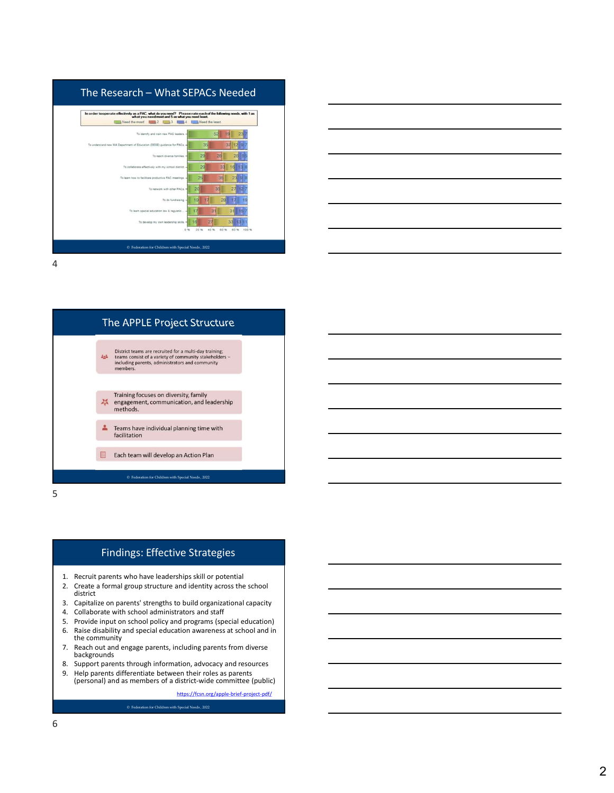





## Findings: Effective Strategies

- 
- 2. Create a formal group structure and identity across the school district
- 
- 
- 
- the community
- backgrounds
- 
- 9. Help parents differentiate between their roles as parents (personal) and as members of a district-wide committee (public)

 $\hfill\ensuremath{\mathfrak{D}}$  Federation for Children with Special Needs , 2022

https://fcsn.org/apple-brief-project-pdf/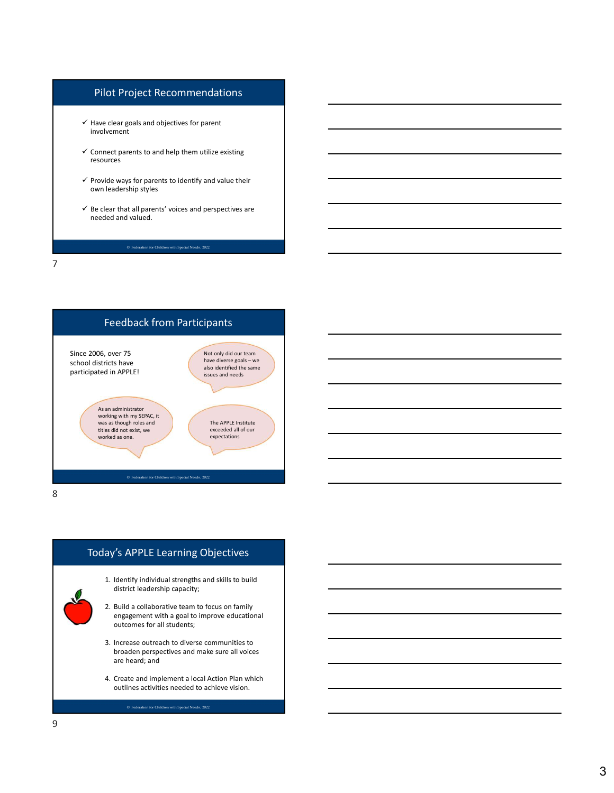## Pilot Project Recommendations

- $\checkmark$  Have clear goals and objectives for parent involvement
- $\checkmark$  Connect parents to and help them utilize existing resources
- $\checkmark$  Provide ways for parents to identify and value their own leadership styles
- $\checkmark$  Be clear that all parents' voices and perspectives are needed and valued.

7